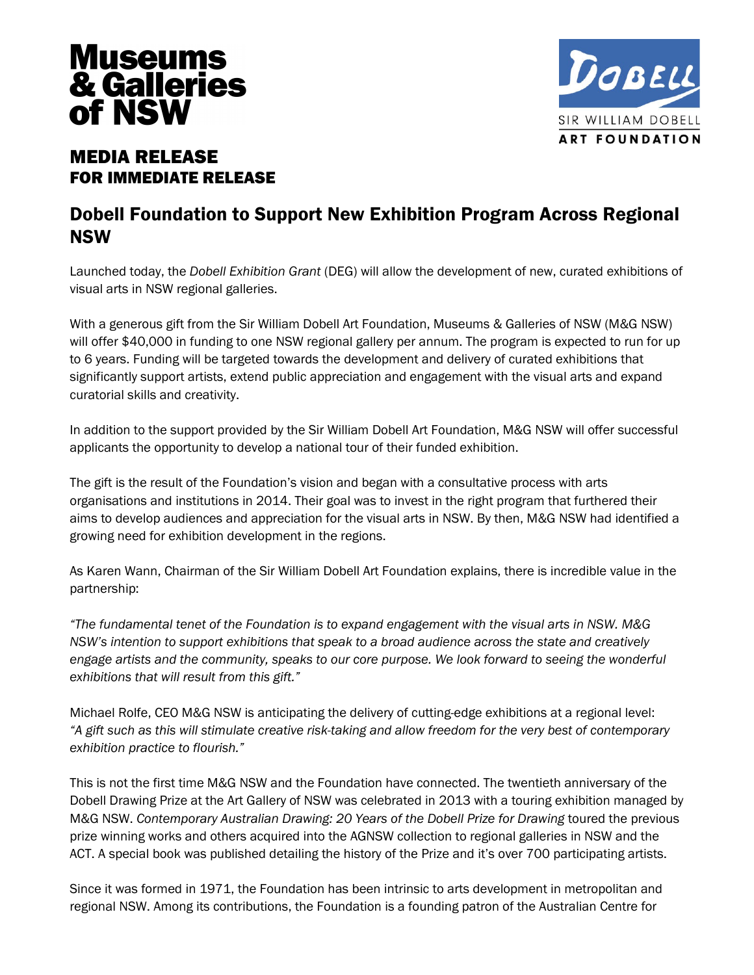



# MEDIA RELEASE FOR IMMEDIATE RELEASE

## Dobell Foundation to Support New Exhibition Program Across Regional NSW

Launched today, the *Dobell Exhibition Grant* (DEG) will allow the development of new, curated exhibitions of visual arts in NSW regional galleries.

With a generous gift from the Sir William Dobell Art Foundation, Museums & Galleries of NSW (M&G NSW) will offer \$40,000 in funding to one NSW regional gallery per annum. The program is expected to run for up to 6 years. Funding will be targeted towards the development and delivery of curated exhibitions that significantly support artists, extend public appreciation and engagement with the visual arts and expand curatorial skills and creativity.

In addition to the support provided by the Sir William Dobell Art Foundation, M&G NSW will offer successful applicants the opportunity to develop a national tour of their funded exhibition.

The gift is the result of the Foundation's vision and began with a consultative process with arts organisations and institutions in 2014. Their goal was to invest in the right program that furthered their aims to develop audiences and appreciation for the visual arts in NSW. By then, M&G NSW had identified a growing need for exhibition development in the regions.

As Karen Wann, Chairman of the Sir William Dobell Art Foundation explains, there is incredible value in the partnership:

*"The fundamental tenet of the Foundation is to expand engagement with the visual arts in NSW. M&G NSW's intention to support exhibitions that speak to a broad audience across the state and creatively engage artists and the community, speaks to our core purpose. We look forward to seeing the wonderful exhibitions that will result from this gift."* 

Michael Rolfe, CEO M&G NSW is anticipating the delivery of cutting-edge exhibitions at a regional level: *"A gift such as this will stimulate creative risk-taking and allow freedom for the very best of contemporary exhibition practice to flourish."* 

This is not the first time M&G NSW and the Foundation have connected. The twentieth anniversary of the Dobell Drawing Prize at the Art Gallery of NSW was celebrated in 2013 with a touring exhibition managed by M&G NSW. *Contemporary Australian Drawing: 20 Years of the Dobell Prize for Drawing* toured the previous prize winning works and others acquired into the AGNSW collection to regional galleries in NSW and the ACT. A special book was published detailing the history of the Prize and it's over 700 participating artists.

Since it was formed in 1971, the Foundation has been intrinsic to arts development in metropolitan and regional NSW. Among its contributions, the Foundation is a founding patron of the Australian Centre for